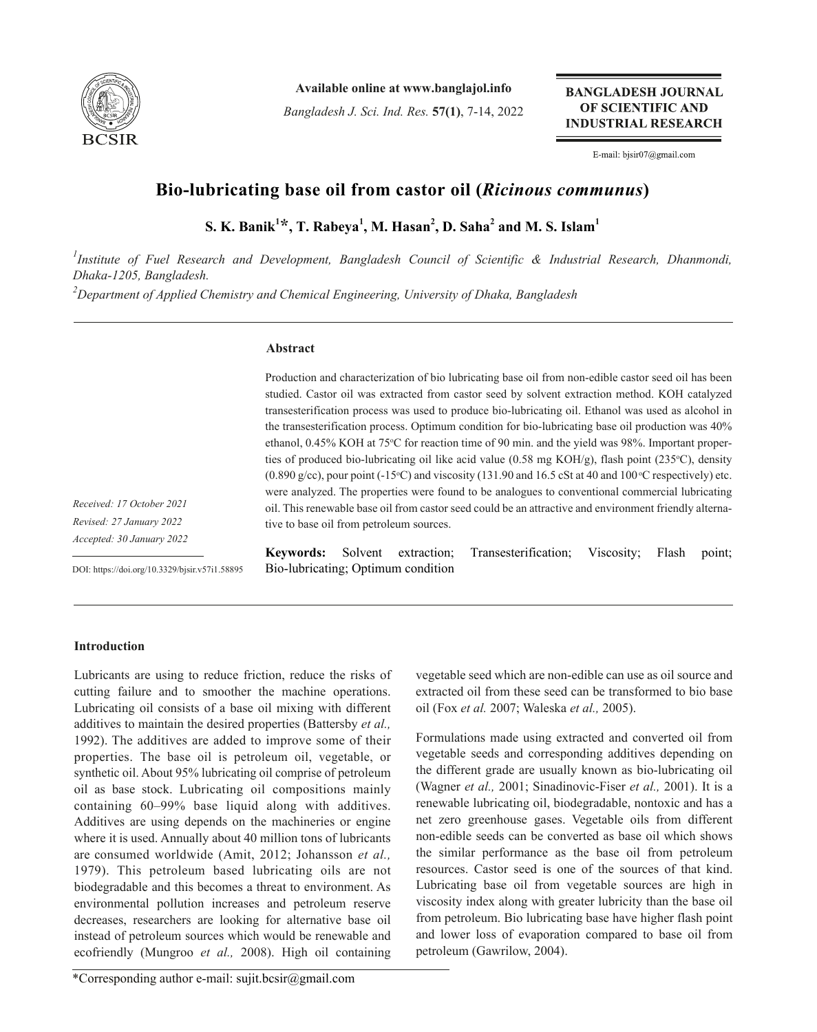

**Available online at www.banglajol.info**

*Bangladesh J. Sci. Ind. Res.* **57(1)**, 7-14, 2022

**BANGLADESH JOURNAL** OF SCIENTIFIC AND **INDUSTRIAL RESEARCH** 

E-mail: bjsir07@gmail.com

# **Bio-lubricating base oil from castor oil (***Ricinous communus***)**

 ${\bf S.~K.~Banik}^{1\star\star}$ ,  ${\bf T.~Rabeya}^{1}$ ,  ${\bf M.~Hasan}^{2}$ ,  ${\bf D.~Saha}^{2}$  and  ${\bf M.~S.~Islam}^{1}$ 

<sup>1</sup> Institute of Fuel Research and Development, Bangladesh Council of Scientific & Industrial Research, Dhanmondi, *Dhaka-1205, Bangladesh. 2 Department of Applied Chemistry and Chemical Engineering, University of Dhaka, Bangladesh*

# **Abstract**

Production and characterization of bio lubricating base oil from non-edible castor seed oil has been studied. Castor oil was extracted from castor seed by solvent extraction method. KOH catalyzed transesterification process was used to produce bio-lubricating oil. Ethanol was used as alcohol in the transesterification process. Optimum condition for bio-lubricating base oil production was 40% ethanol, 0.45% KOH at 75°C for reaction time of 90 min. and the yield was 98%. Important properties of produced bio-lubricating oil like acid value  $(0.58 \text{ mg KOH/g})$ , flash point  $(235^{\circ}\text{C})$ , density  $(0.890 \text{ g/cc})$ , pour point  $(-15^{\circ}\text{C})$  and viscosity  $(131.90 \text{ and } 16.5 \text{ cSt at } 40 \text{ and } 100^{\circ}\text{C}$  respectively) etc. were analyzed. The properties were found to be analogues to conventional commercial lubricating oil. This renewable base oil from castor seed could be an attractive and environment friendly alternative to base oil from petroleum sources.

*Received: 17 October 2021 Revised: 27 January 2022 Accepted: 30 January 2022* 

DOI: https://doi.org/10.3329/bjsir.v57i1.58895

**Keywords:** Solvent extraction; Transesterification; Viscosity; Flash point; Bio-lubricating; Optimum condition

# **Introduction**

Lubricants are using to reduce friction, reduce the risks of cutting failure and to smoother the machine operations. Lubricating oil consists of a base oil mixing with different additives to maintain the desired properties (Battersby *et al.,* 1992). The additives are added to improve some of their properties. The base oil is petroleum oil, vegetable, or synthetic oil. About 95% lubricating oil comprise of petroleum oil as base stock. Lubricating oil compositions mainly containing 60–99% base liquid along with additives. Additives are using depends on the machineries or engine where it is used. Annually about 40 million tons of lubricants are consumed worldwide (Amit, 2012; Johansson *et al.,* 1979). This petroleum based lubricating oils are not biodegradable and this becomes a threat to environment. As environmental pollution increases and petroleum reserve decreases, researchers are looking for alternative base oil instead of petroleum sources which would be renewable and ecofriendly (Mungroo *et al.,* 2008). High oil containing

vegetable seed which are non-edible can use as oil source and extracted oil from these seed can be transformed to bio base oil (Fox *et al.* 2007; Waleska *et al.,* 2005).

Formulations made using extracted and converted oil from vegetable seeds and corresponding additives depending on the different grade are usually known as bio-lubricating oil (Wagner *et al.,* 2001; Sinadinovic-Fiser *et al.,* 2001). It is a renewable lubricating oil, biodegradable, nontoxic and has a net zero greenhouse gases. Vegetable oils from different non-edible seeds can be converted as base oil which shows the similar performance as the base oil from petroleum resources. Castor seed is one of the sources of that kind. Lubricating base oil from vegetable sources are high in viscosity index along with greater lubricity than the base oil from petroleum. Bio lubricating base have higher flash point and lower loss of evaporation compared to base oil from petroleum (Gawrilow, 2004).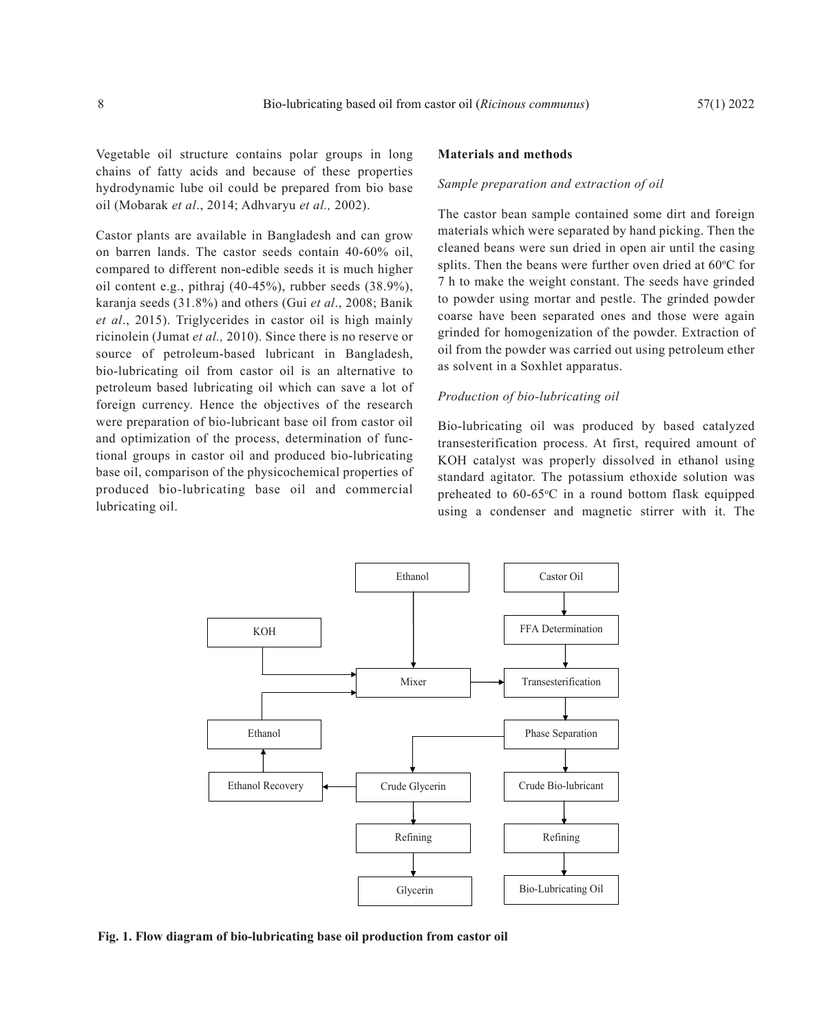Vegetable oil structure contains polar groups in long chains of fatty acids and because of these properties hydrodynamic lube oil could be prepared from bio base oil (Mobarak *et al*., 2014; Adhvaryu *et al.,* 2002).

Castor plants are available in Bangladesh and can grow on barren lands. The castor seeds contain 40-60% oil, compared to different non-edible seeds it is much higher oil content e.g., pithraj (40-45%), rubber seeds (38.9%), karanja seeds (31.8%) and others (Gui *et al*., 2008; Banik *et al*., 2015). Triglycerides in castor oil is high mainly ricinolein (Jumat *et al.,* 2010). Since there is no reserve or source of petroleum-based lubricant in Bangladesh, bio-lubricating oil from castor oil is an alternative to petroleum based lubricating oil which can save a lot of foreign currency. Hence the objectives of the research were preparation of bio-lubricant base oil from castor oil and optimization of the process, determination of functional groups in castor oil and produced bio-lubricating base oil, comparison of the physicochemical properties of produced bio-lubricating base oil and commercial lubricating oil.

#### **Materials and methods**

### *Sample preparation and extraction of oil*

The castor bean sample contained some dirt and foreign materials which were separated by hand picking. Then the cleaned beans were sun dried in open air until the casing splits. Then the beans were further oven dried at  $60^{\circ}$ C for 7 h to make the weight constant. The seeds have grinded to powder using mortar and pestle. The grinded powder coarse have been separated ones and those were again grinded for homogenization of the powder. Extraction of oil from the powder was carried out using petroleum ether as solvent in a Soxhlet apparatus.

### *Production of bio-lubricating oil*

Bio-lubricating oil was produced by based catalyzed transesterification process. At first, required amount of KOH catalyst was properly dissolved in ethanol using standard agitator. The potassium ethoxide solution was preheated to  $60-65$ °C in a round bottom flask equipped using a condenser and magnetic stirrer with it. The



**Fig. 1. Flow diagram of bio-lubricating base oil production from castor oil**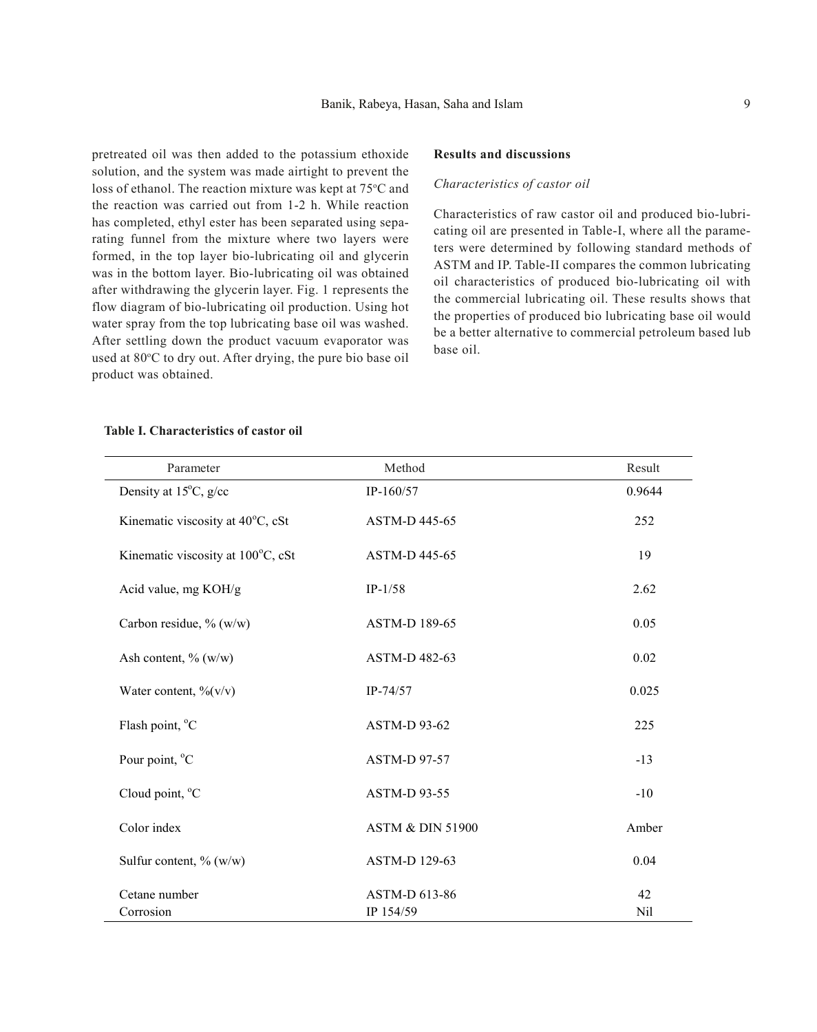pretreated oil was then added to the potassium ethoxide solution, and the system was made airtight to prevent the loss of ethanol. The reaction mixture was kept at 75°C and the reaction was carried out from 1-2 h. While reaction has completed, ethyl ester has been separated using separating funnel from the mixture where two layers were formed, in the top layer bio-lubricating oil and glycerin was in the bottom layer. Bio-lubricating oil was obtained after withdrawing the glycerin layer. Fig. 1 represents the flow diagram of bio-lubricating oil production. Using hot water spray from the top lubricating base oil was washed. After settling down the product vacuum evaporator was used at 80°C to dry out. After drying, the pure bio base oil product was obtained.

### **Results and discussions**

#### *Characteristics of castor oil*

Characteristics of raw castor oil and produced bio-lubricating oil are presented in Table-I, where all the parameters were determined by following standard methods of ASTM and IP. Table-II compares the common lubricating oil characteristics of produced bio-lubricating oil with the commercial lubricating oil. These results shows that the properties of produced bio lubricating base oil would be a better alternative to commercial petroleum based lub base oil.

| Parameter                              | Method                      | Result    |
|----------------------------------------|-----------------------------|-----------|
| Density at $15^{\circ}$ C, g/cc        | $IP-160/57$                 | 0.9644    |
| Kinematic viscosity at 40°C, cSt       | ASTM-D 445-65               | 252       |
| Kinematic viscosity at 100°C, cSt      | ASTM-D 445-65               | 19        |
| Acid value, mg KOH/g                   | $IP-1/58$                   | 2.62      |
| Carbon residue, % (w/w)                | ASTM-D 189-65               | 0.05      |
| Ash content, $\%$ (w/w)                | ASTM-D 482-63               | 0.02      |
| Water content, $\frac{\%}{\mathrm{V}}$ | $IP-74/57$                  | 0.025     |
| Flash point, °C                        | <b>ASTM-D 93-62</b>         | 225       |
| Pour point, °C                         | <b>ASTM-D 97-57</b>         | $-13$     |
| Cloud point, °C                        | <b>ASTM-D 93-55</b>         | $-10$     |
| Color index                            | <b>ASTM &amp; DIN 51900</b> | Amber     |
| Sulfur content, $\%$ (w/w)             | ASTM-D 129-63               | 0.04      |
| Cetane number<br>Corrosion             | ASTM-D 613-86<br>IP 154/59  | 42<br>Nil |

## **Table I. Characteristics of castor oil**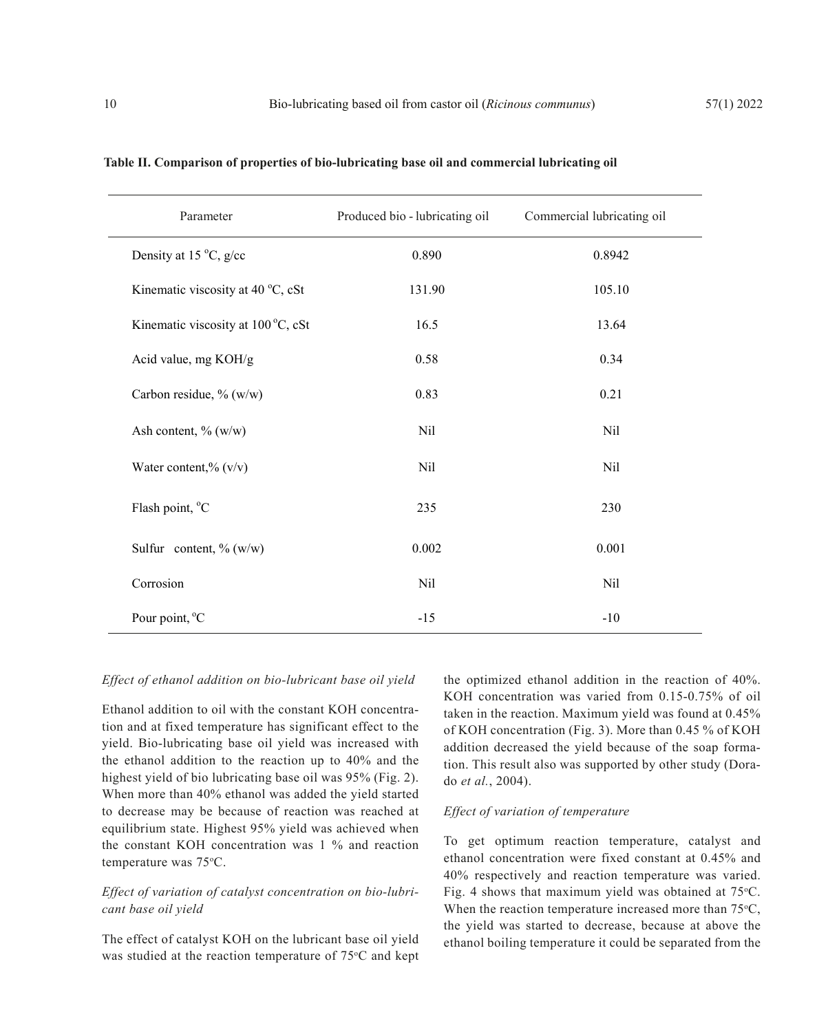| Parameter                          | Produced bio - lubricating oil | Commercial lubricating oil |
|------------------------------------|--------------------------------|----------------------------|
| Density at 15 °C, g/cc             | 0.890                          | 0.8942                     |
| Kinematic viscosity at 40 °C, cSt  | 131.90                         | 105.10                     |
| Kinematic viscosity at 100 °C, cSt | 16.5                           | 13.64                      |
| Acid value, mg KOH/g               | 0.58                           | 0.34                       |
| Carbon residue, % (w/w)            | 0.83                           | 0.21                       |
| Ash content, % (w/w)               | Nil                            | Nil                        |
| Water content,% (v/v)              | Nil                            | Nil                        |
| Flash point, °C                    | 235                            | 230                        |
| Sulfur content, $\%$ (w/w)         | 0.002                          | 0.001                      |
| Corrosion                          | Nil                            | Nil                        |
| Pour point, °C                     | $-15$                          | $-10$                      |

#### **Table II. Comparison of properties of bio-lubricating base oil and commercial lubricating oil**

# *Effect of ethanol addition on bio-lubricant base oil yield*

Ethanol addition to oil with the constant KOH concentration and at fixed temperature has significant effect to the yield. Bio-lubricating base oil yield was increased with the ethanol addition to the reaction up to 40% and the highest yield of bio lubricating base oil was 95% (Fig. 2). When more than 40% ethanol was added the yield started to decrease may be because of reaction was reached at equilibrium state. Highest 95% yield was achieved when the constant KOH concentration was 1 % and reaction temperature was 75°C.

# *Effect of variation of catalyst concentration on bio-lubricant base oil yield*

The effect of catalyst KOH on the lubricant base oil yield was studied at the reaction temperature of 75°C and kept the optimized ethanol addition in the reaction of 40%. KOH concentration was varied from 0.15-0.75% of oil taken in the reaction. Maximum yield was found at 0.45% of KOH concentration (Fig. 3). More than 0.45 % of KOH addition decreased the yield because of the soap formation. This result also was supported by other study (Dorado *et al.*, 2004).

### *Effect of variation of temperature*

To get optimum reaction temperature, catalyst and ethanol concentration were fixed constant at 0.45% and 40% respectively and reaction temperature was varied. Fig. 4 shows that maximum yield was obtained at  $75^{\circ}$ C. When the reaction temperature increased more than  $75^{\circ}$ C, the yield was started to decrease, because at above the ethanol boiling temperature it could be separated from the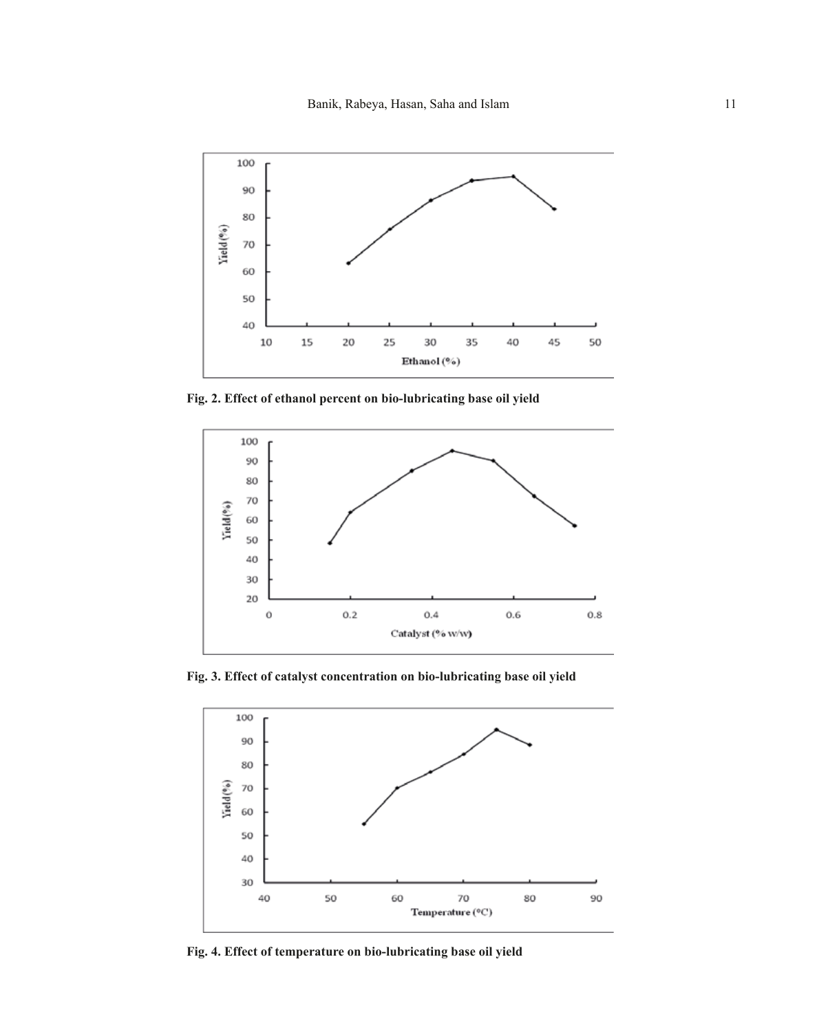

**Fig. 2. Effect of ethanol percent on bio-lubricating base oil yield**



**Fig. 3. Effect of catalyst concentration on bio-lubricating base oil yield**



**Fig. 4. Effect of temperature on bio-lubricating base oil yield**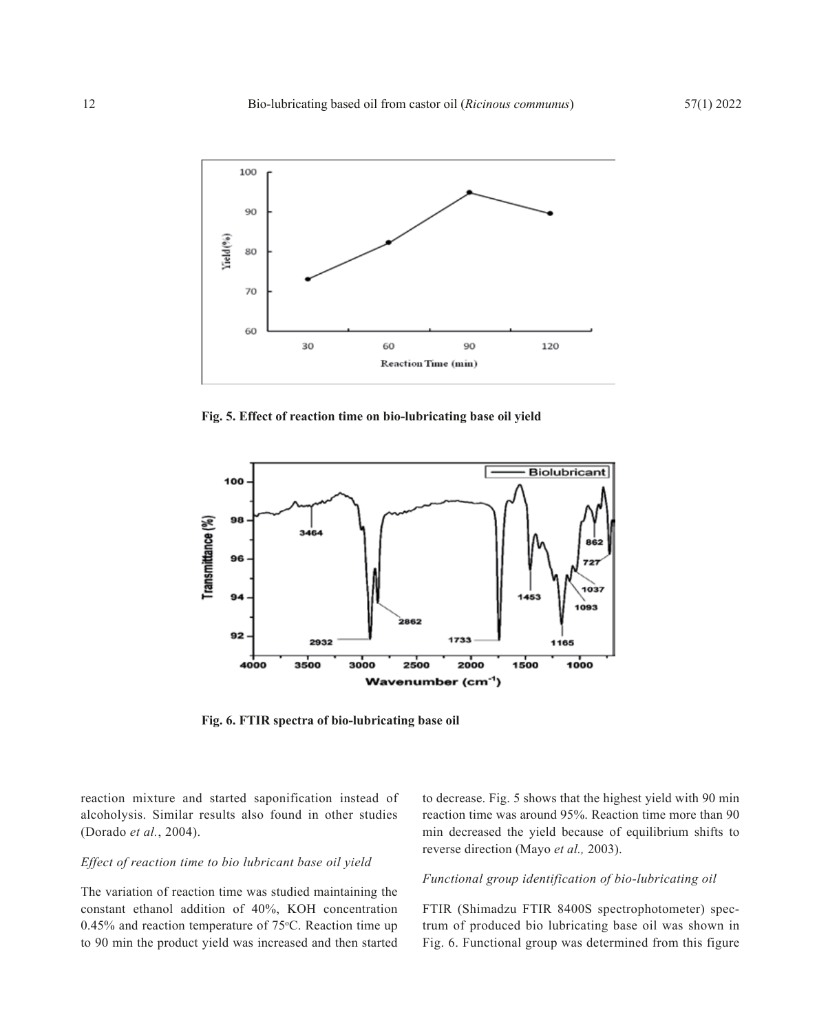

**Fig. 5. Effect of reaction time on bio-lubricating base oil yield**



**Fig. 6. FTIR spectra of bio-lubricating base oil**

reaction mixture and started saponification instead of alcoholysis. Similar results also found in other studies (Dorado *et al.*, 2004).

# *Effect of reaction time to bio lubricant base oil yield*

The variation of reaction time was studied maintaining the constant ethanol addition of 40%, KOH concentration  $0.45\%$  and reaction temperature of  $75\textdegree C$ . Reaction time up to 90 min the product yield was increased and then started

to decrease. Fig. 5 shows that the highest yield with 90 min reaction time was around 95%. Reaction time more than 90 min decreased the yield because of equilibrium shifts to reverse direction (Mayo *et al.,* 2003).

# *Functional group identification of bio-lubricating oil*

FTIR (Shimadzu FTIR 8400S spectrophotometer) spectrum of produced bio lubricating base oil was shown in Fig. 6. Functional group was determined from this figure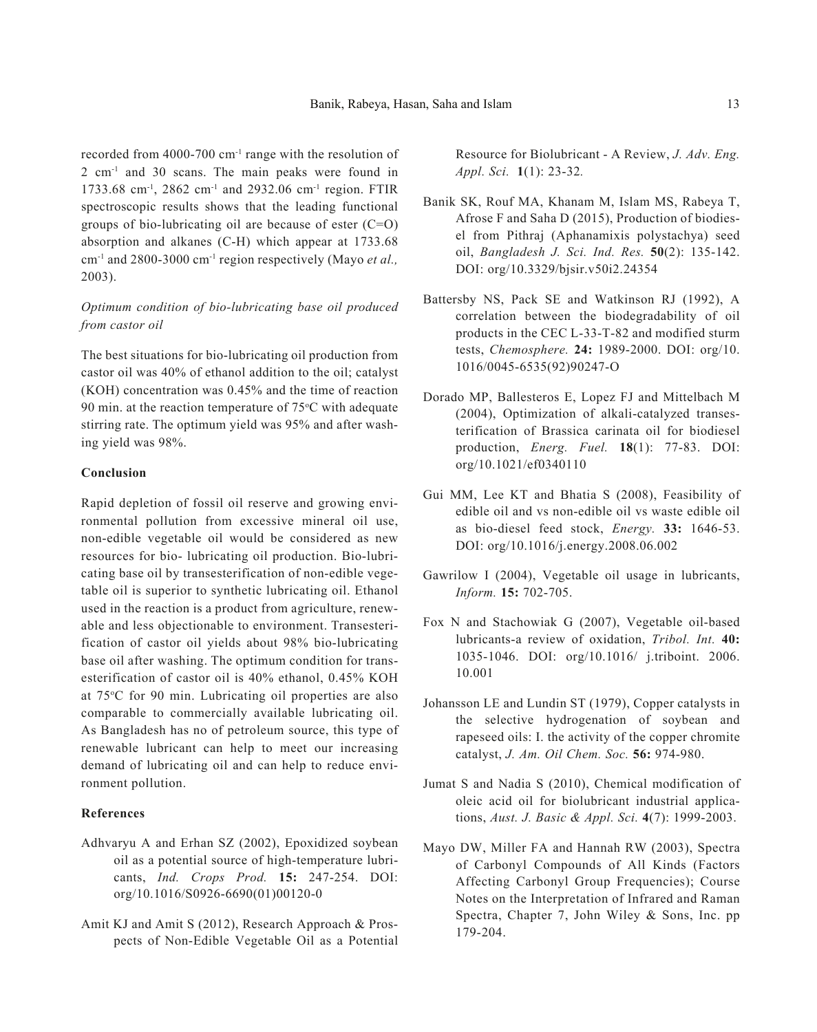recorded from 4000-700 cm-1 range with the resolution of 2 cm-1 and 30 scans. The main peaks were found in 1733.68 cm-1, 2862 cm-1 and 2932.06 cm-1 region. FTIR spectroscopic results shows that the leading functional groups of bio-lubricating oil are because of ester  $(C=O)$ absorption and alkanes (C-H) which appear at 1733.68 cm-1 and 2800-3000 cm-1 region respectively (Mayo *et al.,* 2003).

# *Optimum condition of bio-lubricating base oil produced from castor oil*

The best situations for bio-lubricating oil production from castor oil was 40% of ethanol addition to the oil; catalyst (KOH) concentration was 0.45% and the time of reaction 90 min. at the reaction temperature of  $75^{\circ}$ C with adequate stirring rate. The optimum yield was 95% and after washing yield was 98%.

# **Conclusion**

Rapid depletion of fossil oil reserve and growing environmental pollution from excessive mineral oil use, non-edible vegetable oil would be considered as new resources for bio- lubricating oil production. Bio-lubricating base oil by transesterification of non-edible vegetable oil is superior to synthetic lubricating oil. Ethanol used in the reaction is a product from agriculture, renewable and less objectionable to environment. Transesterification of castor oil yields about 98% bio-lubricating base oil after washing. The optimum condition for transesterification of castor oil is 40% ethanol, 0.45% KOH at 75°C for 90 min. Lubricating oil properties are also comparable to commercially available lubricating oil. As Bangladesh has no of petroleum source, this type of renewable lubricant can help to meet our increasing demand of lubricating oil and can help to reduce environment pollution.

# **References**

- Adhvaryu A and Erhan SZ (2002), Epoxidized soybean oil as a potential source of high-temperature lubricants, *Ind. Crops Prod.* **15:** 247-254. DOI: org/10.1016/S0926-6690(01)00120-0
- Amit KJ and Amit S (2012), Research Approach & Prospects of Non-Edible Vegetable Oil as a Potential

Resource for Biolubricant - A Review, *J. Adv. Eng. Appl. Sci.* **1**(1): 23-32*.*

- Banik SK, Rouf MA, Khanam M, Islam MS, Rabeya T, Afrose F and Saha D (2015), Production of biodiesel from Pithraj (Aphanamixis polystachya) seed oil, *Bangladesh J. Sci. Ind. Res.* **50**(2): 135-142. DOI: org/10.3329/bjsir.v50i2.24354
- Battersby NS, Pack SE and Watkinson RJ (1992), A correlation between the biodegradability of oil products in the CEC L-33-T-82 and modified sturm tests, *Chemosphere.* **24:** 1989-2000. DOI: org/10. 1016/0045-6535(92)90247-O
- Dorado MP, Ballesteros E, Lopez FJ and Mittelbach M (2004), Optimization of alkali-catalyzed transesterification of Brassica carinata oil for biodiesel production, *Energ. Fuel.* **18**(1): 77-83. DOI: org/10.1021/ef0340110
- Gui MM, Lee KT and Bhatia S (2008), Feasibility of edible oil and vs non-edible oil vs waste edible oil as bio-diesel feed stock, *Energy.* **33:** 1646-53. DOI: org/10.1016/j.energy.2008.06.002
- Gawrilow I (2004), Vegetable oil usage in lubricants, *Inform.* **15:** 702-705.
- Fox N and Stachowiak G (2007), Vegetable oil-based lubricants-a review of oxidation, *Tribol. Int.* **40:**  1035-1046. DOI: org/10.1016/ j.triboint. 2006. 10.001
- Johansson LE and Lundin ST (1979), Copper catalysts in the selective hydrogenation of soybean and rapeseed oils: I. the activity of the copper chromite catalyst, *J. Am. Oil Chem. Soc.* **56:** 974-980.
- Jumat S and Nadia S (2010), Chemical modification of oleic acid oil for biolubricant industrial applications, *Aust. J. Basic & Appl. Sci.* **4**(7): 1999-2003.
- Mayo DW, Miller FA and Hannah RW (2003), Spectra of Carbonyl Compounds of All Kinds (Factors Affecting Carbonyl Group Frequencies); Course Notes on the Interpretation of Infrared and Raman Spectra, Chapter 7, John Wiley & Sons, Inc. pp 179-204.